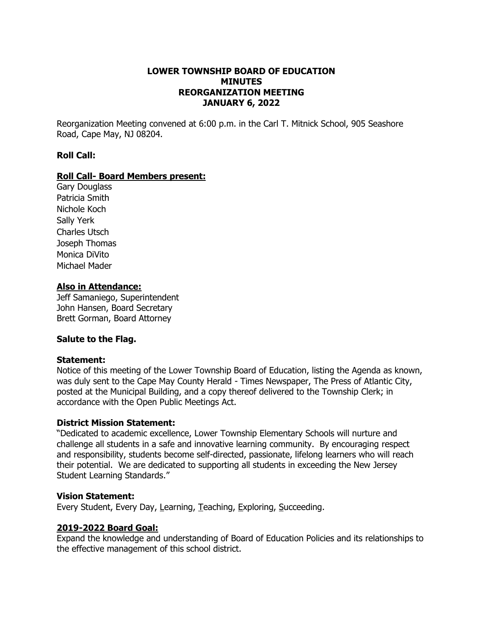#### **LOWER TOWNSHIP BOARD OF EDUCATION MINUTES REORGANIZATION MEETING JANUARY 6, 2022**

Reorganization Meeting convened at 6:00 p.m. in the Carl T. Mitnick School, 905 Seashore Road, Cape May, NJ 08204.

#### **Roll Call:**

#### **Roll Call- Board Members present:**

Gary Douglass Patricia Smith Nichole Koch Sally Yerk Charles Utsch Joseph Thomas Monica DiVito Michael Mader

#### **Also in Attendance:**

Jeff Samaniego, Superintendent John Hansen, Board Secretary Brett Gorman, Board Attorney

#### **Salute to the Flag.**

#### **Statement:**

Notice of this meeting of the Lower Township Board of Education, listing the Agenda as known, was duly sent to the Cape May County Herald - Times Newspaper, The Press of Atlantic City, posted at the Municipal Building, and a copy thereof delivered to the Township Clerk; in accordance with the Open Public Meetings Act.

#### **District Mission Statement:**

"Dedicated to academic excellence, Lower Township Elementary Schools will nurture and challenge all students in a safe and innovative learning community. By encouraging respect and responsibility, students become self-directed, passionate, lifelong learners who will reach their potential. We are dedicated to supporting all students in exceeding the New Jersey Student Learning Standards."

#### **Vision Statement:**

Every Student, Every Day, Learning, Teaching, Exploring, Succeeding.

#### **2019-2022 Board Goal:**

Expand the knowledge and understanding of Board of Education Policies and its relationships to the effective management of this school district.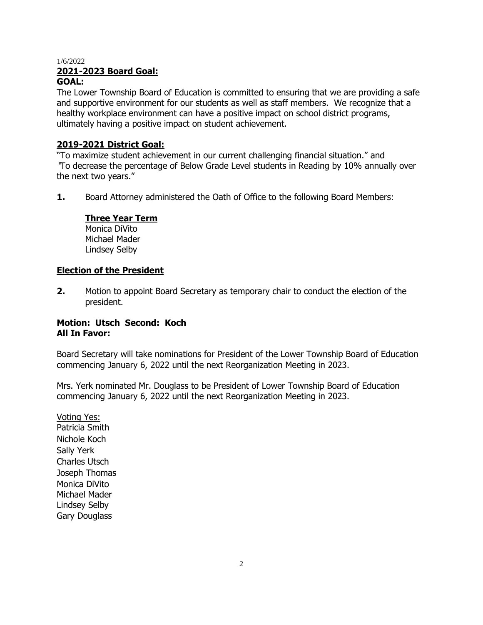# **2021-2023 Board Goal:**

### **GOAL:**

The Lower Township Board of Education is committed to ensuring that we are providing a safe and supportive environment for our students as well as staff members. We recognize that a healthy workplace environment can have a positive impact on school district programs, ultimately having a positive impact on student achievement.

### **2019-2021 District Goal:**

"To maximize student achievement in our current challenging financial situation." and "To decrease the percentage of Below Grade Level students in Reading by 10% annually over the next two years."

**1.** Board Attorney administered the Oath of Office to the following Board Members:

# **Three Year Term**

Monica DiVito Michael Mader Lindsey Selby

#### **Election of the President**

**2.** Motion to appoint Board Secretary as temporary chair to conduct the election of the president.

### **Motion: Utsch Second: Koch All In Favor:**

Board Secretary will take nominations for President of the Lower Township Board of Education commencing January 6, 2022 until the next Reorganization Meeting in 2023.

Mrs. Yerk nominated Mr. Douglass to be President of Lower Township Board of Education commencing January 6, 2022 until the next Reorganization Meeting in 2023.

Voting Yes: Patricia Smith Nichole Koch Sally Yerk Charles Utsch Joseph Thomas Monica DiVito Michael Mader Lindsey Selby Gary Douglass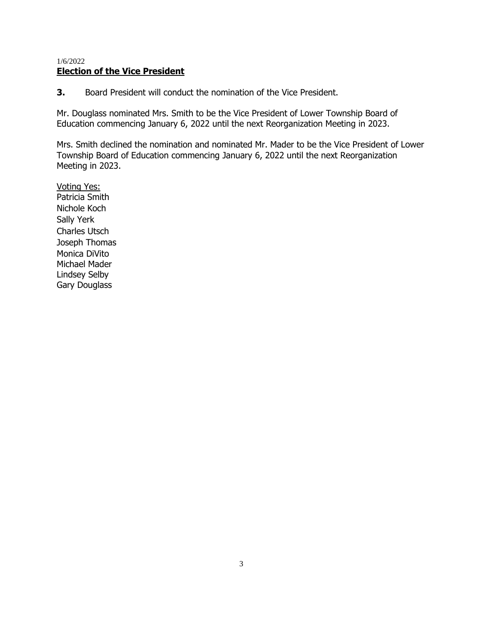### 1/6/2022 **Election of the Vice President**

**3.** Board President will conduct the nomination of the Vice President.

Mr. Douglass nominated Mrs. Smith to be the Vice President of Lower Township Board of Education commencing January 6, 2022 until the next Reorganization Meeting in 2023.

Mrs. Smith declined the nomination and nominated Mr. Mader to be the Vice President of Lower Township Board of Education commencing January 6, 2022 until the next Reorganization Meeting in 2023.

Voting Yes: Patricia Smith Nichole Koch Sally Yerk Charles Utsch Joseph Thomas Monica DiVito Michael Mader Lindsey Selby Gary Douglass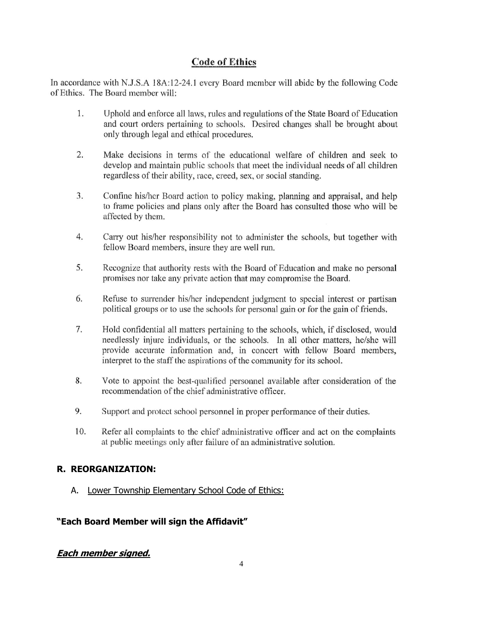# **Code of Ethics**

In accordance with N.J.S.A 18A:12-24.1 every Board member will abide by the following Code of Ethics. The Board member will:

- 1. Uphold and enforce all laws, rules and regulations of the State Board of Education and court orders pertaining to schools. Desired changes shall be brought about only through legal and ethical procedures.
- $\overline{2}$ . Make decisions in terms of the educational welfare of children and seek to develop and maintain public schools that meet the individual needs of all children regardless of their ability, race, creed, sex, or social standing.
- $3.$ Confine his/her Board action to policy making, planning and appraisal, and help to frame policies and plans only after the Board has consulted those who will be affected by them.
- 4. Carry out his/her responsibility not to administer the schools, but together with fellow Board members, insure they are well run.
- Recognize that authority rests with the Board of Education and make no personal 5. promises nor take any private action that may compromise the Board.
- 6. Refuse to surrender his/her independent judgment to special interest or partisan political groups or to use the schools for personal gain or for the gain of friends.
- 7. Hold confidential all matters pertaining to the schools, which, if disclosed, would needlessly injure individuals, or the schools. In all other matters, he/she will provide accurate information and, in concert with fellow Board members, interpret to the staff the aspirations of the community for its school.
- 8. Vote to appoint the best-qualified personnel available after consideration of the recommendation of the chief administrative officer.
- 9. Support and protect school personnel in proper performance of their duties.
- 10. Refer all complaints to the chief administrative officer and act on the complaints at public meetings only after failure of an administrative solution.

### **R. REORGANIZATION:**

A. Lower Township Elementary School Code of Ethics:

#### **"Each Board Member will sign the Affidavit"**

#### **Each member signed.**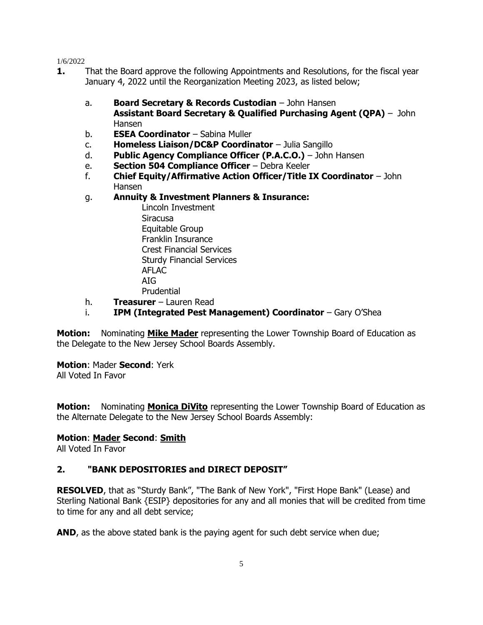- **1.** That the Board approve the following Appointments and Resolutions, for the fiscal year January 4, 2022 until the Reorganization Meeting 2023, as listed below;
	- a. **Board Secretary & Records Custodian** John Hansen **Assistant Board Secretary & Qualified Purchasing Agent (QPA)** – John Hansen
	- b. **ESEA Coordinator** Sabina Muller
	- c. **Homeless Liaison/DC&P Coordinator** Julia Sangillo
	- d. **Public Agency Compliance Officer (P.A.C.O.)** John Hansen
	- e. **Section 504 Compliance Officer** Debra Keeler
	- f. **Chief Equity/Affirmative Action Officer/Title IX Coordinator** John Hansen
	- g. **Annuity & Investment Planners & Insurance:**
		- Lincoln Investment Siracusa Equitable Group Franklin Insurance Crest Financial Services Sturdy Financial Services AFLAC AIG Prudential
	- h. **Treasurer** Lauren Read
	- i. **IPM (Integrated Pest Management) Coordinator** Gary O'Shea

**Motion:** Nominating **Mike Mader** representing the Lower Township Board of Education as the Delegate to the New Jersey School Boards Assembly.

# **Motion**: Mader **Second**: Yerk

All Voted In Favor

**Motion:** Nominating **Monica DiVito** representing the Lower Township Board of Education as the Alternate Delegate to the New Jersey School Boards Assembly:

# **Motion**: **Mader Second**: **Smith**

All Voted In Favor

# **2. "BANK DEPOSITORIES and DIRECT DEPOSIT"**

**RESOLVED**, that as "Sturdy Bank", "The Bank of New York", "First Hope Bank" (Lease) and Sterling National Bank {ESIP} depositories for any and all monies that will be credited from time to time for any and all debt service;

**AND**, as the above stated bank is the paying agent for such debt service when due;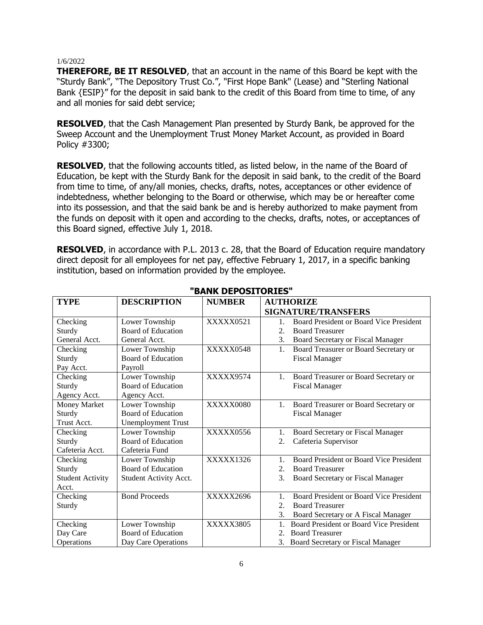**THEREFORE, BE IT RESOLVED**, that an account in the name of this Board be kept with the "Sturdy Bank", "The Depository Trust Co.", "First Hope Bank" (Lease) and "Sterling National Bank {ESIP}" for the deposit in said bank to the credit of this Board from time to time, of any and all monies for said debt service;

**RESOLVED**, that the Cash Management Plan presented by Sturdy Bank, be approved for the Sweep Account and the Unemployment Trust Money Market Account, as provided in Board Policy #3300;

**RESOLVED**, that the following accounts titled, as listed below, in the name of the Board of Education, be kept with the Sturdy Bank for the deposit in said bank, to the credit of the Board from time to time, of any/all monies, checks, drafts, notes, acceptances or other evidence of indebtedness, whether belonging to the Board or otherwise, which may be or hereafter come into its possession, and that the said bank be and is hereby authorized to make payment from the funds on deposit with it open and according to the checks, drafts, notes, or acceptances of this Board signed, effective July 1, 2018.

**RESOLVED**, in accordance with P.L. 2013 c. 28, that the Board of Education require mandatory direct deposit for all employees for net pay, effective February 1, 2017, in a specific banking institution, based on information provided by the employee.

| <b>TYPE</b>             | <b>DESCRIPTION</b>        | <b>NUMBER</b> | <b>AUTHORIZE</b>                                          |
|-------------------------|---------------------------|---------------|-----------------------------------------------------------|
|                         |                           |               | <b>SIGNATURE/TRANSFERS</b>                                |
| Checking                | Lower Township            | XXXXX0521     | Board President or Board Vice President<br>$1_{-}$        |
| Sturdy                  | Board of Education        |               | 2.5<br><b>Board Treasurer</b>                             |
| General Acct.           | General Acct.             |               | 3.<br>Board Secretary or Fiscal Manager                   |
| Checking                | Lower Township            | XXXXX0548     | Board Treasurer or Board Secretary or<br>1.               |
| Sturdy                  | Board of Education        |               | <b>Fiscal Manager</b>                                     |
| Pay Acct.               | Payroll                   |               |                                                           |
| Checking                | Lower Township            | XXXXX9574     | Board Treasurer or Board Secretary or<br>1.               |
| Sturdy                  | Board of Education        |               | <b>Fiscal Manager</b>                                     |
| Agency Acct.            | Agency Acct.              |               |                                                           |
| Money Market            | Lower Township            | XXXXX0080     | Board Treasurer or Board Secretary or<br>1.               |
| Sturdy                  | Board of Education        |               | <b>Fiscal Manager</b>                                     |
| Trust Acct.             | <b>Unemployment Trust</b> |               |                                                           |
| Checking                | Lower Township            | XXXXX0556     | Board Secretary or Fiscal Manager<br>1.                   |
| Sturdy                  | Board of Education        |               | Cafeteria Supervisor<br>2.                                |
| Cafeteria Acct.         | Cafeteria Fund            |               |                                                           |
| Checking                | Lower Township            | XXXXX1326     | Board President or Board Vice President<br>$\mathbf{1}$ . |
| Sturdy                  | Board of Education        |               | <b>Board Treasurer</b><br>2.5                             |
| <b>Student Activity</b> | Student Activity Acct.    |               | $\mathcal{E}$<br><b>Board Secretary or Fiscal Manager</b> |
| Acct.                   |                           |               |                                                           |
| Checking                | <b>Bond Proceeds</b>      | XXXXX2696     | Board President or Board Vice President                   |
| Sturdy                  |                           |               | 2.5<br><b>Board Treasurer</b>                             |
|                         |                           |               | 3.<br>Board Secretary or A Fiscal Manager                 |
| Checking                | Lower Township            | XXXXX3805     | Board President or Board Vice President<br>1.             |
| Day Care                | Board of Education        |               | <b>Board Treasurer</b><br>2.                              |
| Operations              | Day Care Operations       |               | 3.<br><b>Board Secretary or Fiscal Manager</b>            |

#### **"BANK DEPOSITORIES"**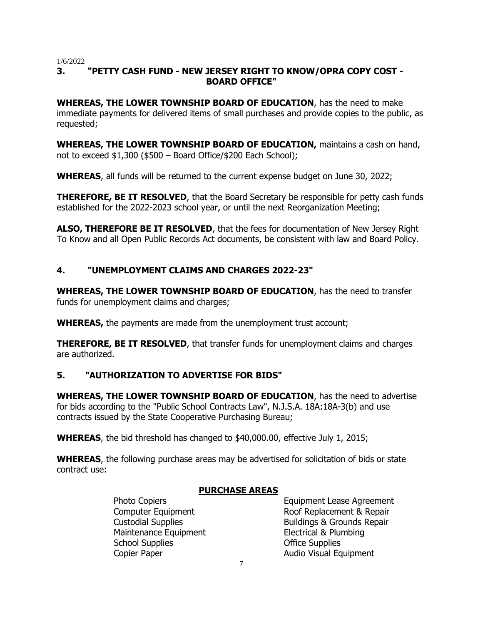# **3. "PETTY CASH FUND - NEW JERSEY RIGHT TO KNOW/OPRA COPY COST - BOARD OFFICE"**

**WHEREAS, THE LOWER TOWNSHIP BOARD OF EDUCATION**, has the need to make immediate payments for delivered items of small purchases and provide copies to the public, as requested;

**WHEREAS, THE LOWER TOWNSHIP BOARD OF EDUCATION,** maintains a cash on hand, not to exceed \$1,300 (\$500 – Board Office/\$200 Each School);

**WHEREAS**, all funds will be returned to the current expense budget on June 30, 2022;

**THEREFORE, BE IT RESOLVED**, that the Board Secretary be responsible for petty cash funds established for the 2022-2023 school year, or until the next Reorganization Meeting;

**ALSO, THEREFORE BE IT RESOLVED**, that the fees for documentation of New Jersey Right To Know and all Open Public Records Act documents, be consistent with law and Board Policy.

# **4. "UNEMPLOYMENT CLAIMS AND CHARGES 2022-23"**

**WHEREAS, THE LOWER TOWNSHIP BOARD OF EDUCATION**, has the need to transfer funds for unemployment claims and charges;

**WHEREAS,** the payments are made from the unemployment trust account;

**THEREFORE, BE IT RESOLVED**, that transfer funds for unemployment claims and charges are authorized.

# **5. "AUTHORIZATION TO ADVERTISE FOR BIDS"**

**WHEREAS, THE LOWER TOWNSHIP BOARD OF EDUCATION**, has the need to advertise for bids according to the "Public School Contracts Law", N.J.S.A. 18A:18A-3(b) and use contracts issued by the State Cooperative Purchasing Bureau;

**WHEREAS**, the bid threshold has changed to \$40,000.00, effective July 1, 2015;

**WHEREAS**, the following purchase areas may be advertised for solicitation of bids or state contract use:

# **PURCHASE AREAS**

Maintenance Equipment Electrical & Plumbing School Supplies **Office Supplies** Copier Paper **Audio Visual Equipment** 

Photo Copiers **Equipment Lease Agreement** Computer Equipment **Computer Equipment** Roof Replacement & Repair Custodial Supplies **Buildings & Grounds Repair**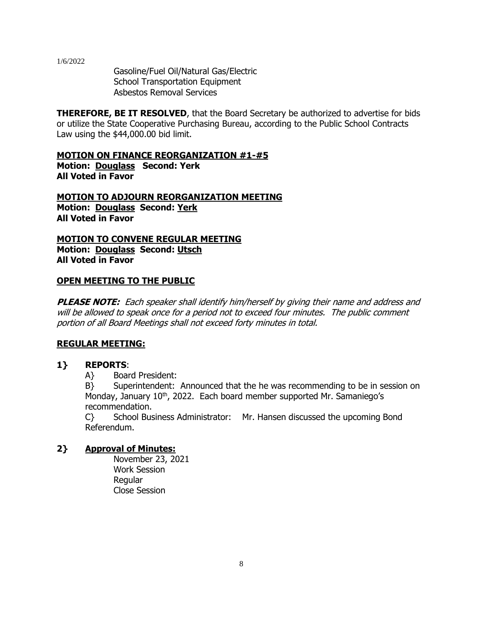Gasoline/Fuel Oil/Natural Gas/Electric School Transportation Equipment Asbestos Removal Services

**THEREFORE, BE IT RESOLVED**, that the Board Secretary be authorized to advertise for bids or utilize the State Cooperative Purchasing Bureau, according to the Public School Contracts Law using the \$44,000.00 bid limit.

**MOTION ON FINANCE REORGANIZATION #1-#5 Motion: Douglass Second: Yerk All Voted in Favor**

**MOTION TO ADJOURN REORGANIZATION MEETING Motion: Douglass Second: Yerk All Voted in Favor**

**MOTION TO CONVENE REGULAR MEETING Motion: Douglass Second: Utsch All Voted in Favor**

#### **OPEN MEETING TO THE PUBLIC**

**PLEASE NOTE:** Each speaker shall identify him/herself by giving their name and address and will be allowed to speak once for a period not to exceed four minutes. The public comment portion of all Board Meetings shall not exceed forty minutes in total.

#### **REGULAR MEETING:**

# **1} REPORTS**:

A} Board President:

B} Superintendent: Announced that the he was recommending to be in session on Monday, January  $10^{th}$ , 2022. Each board member supported Mr. Samaniego's recommendation.

C} School Business Administrator: Mr. Hansen discussed the upcoming Bond Referendum.

# **2} Approval of Minutes:**

November 23, 2021 Work Session Regular Close Session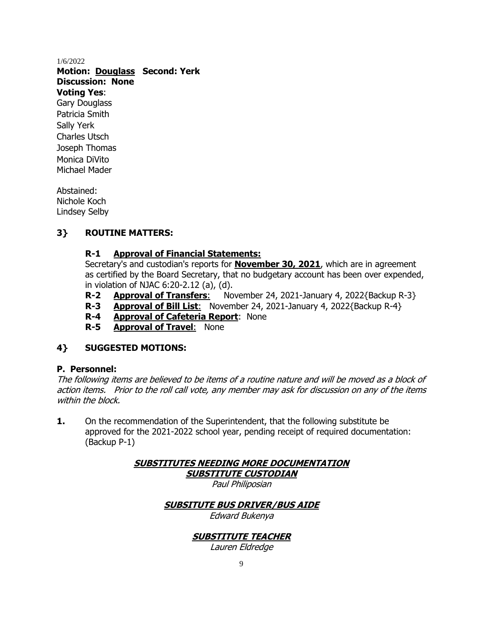**Motion: Douglass Second: Yerk Discussion: None Voting Yes**:

Gary Douglass Patricia Smith Sally Yerk Charles Utsch Joseph Thomas Monica DiVito Michael Mader

Abstained: Nichole Koch Lindsey Selby

# **3} ROUTINE MATTERS:**

# **R-1 Approval of Financial Statements:**

Secretary's and custodian's reports for **November 30, 2021**, which are in agreement as certified by the Board Secretary, that no budgetary account has been over expended, in violation of NJAC 6:20-2.12 (a), (d).

- **R-2 Approval of Transfers**: November 24, 2021-January 4, 2022{Backup R-3}
- **R-3 Approval of Bill List**: November 24, 2021-January 4, 2022{Backup R-4}
- **R-4 Approval of Cafeteria Report**: None
- **R-5 Approval of Travel**: None

# **4} SUGGESTED MOTIONS:**

# **P. Personnel:**

The following items are believed to be items of a routine nature and will be moved as a block of action items. Prior to the roll call vote, any member may ask for discussion on any of the items within the block.

**1.** On the recommendation of the Superintendent, that the following substitute be approved for the 2021-2022 school year, pending receipt of required documentation: (Backup P-1)

> **SUBSTITUTES NEEDING MORE DOCUMENTATION SUBSTITUTE CUSTODIAN** Paul Philiposian

# **SUBSITUTE BUS DRIVER/BUS AIDE**

Edward Bukenya

# **SUBSTITUTE TEACHER**

Lauren Eldredge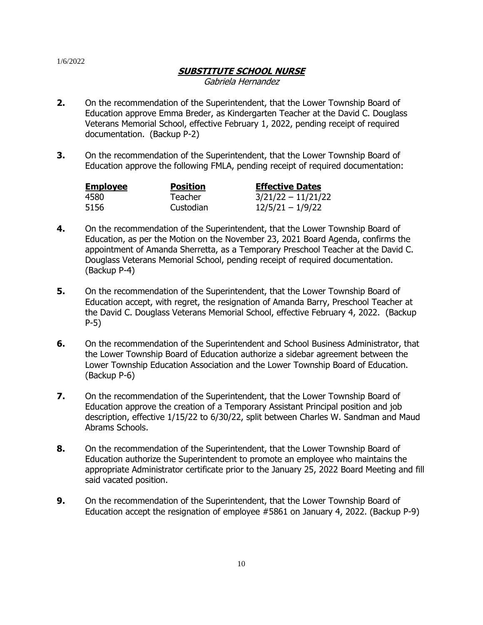# **SUBSTITUTE SCHOOL NURSE**

Gabriela Hernandez

- **2.** On the recommendation of the Superintendent, that the Lower Township Board of Education approve Emma Breder, as Kindergarten Teacher at the David C. Douglass Veterans Memorial School, effective February 1, 2022, pending receipt of required documentation. (Backup P-2)
- **3.** On the recommendation of the Superintendent, that the Lower Township Board of Education approve the following FMLA, pending receipt of required documentation:

| <b>Employee</b> | <b>Position</b> | <b>Effective Dates</b> |
|-----------------|-----------------|------------------------|
| 4580            | Teacher         | $3/21/22 - 11/21/22$   |
| 5156            | Custodian       | $12/5/21 - 1/9/22$     |

- **4.** On the recommendation of the Superintendent, that the Lower Township Board of Education, as per the Motion on the November 23, 2021 Board Agenda, confirms the appointment of Amanda Sherretta, as a Temporary Preschool Teacher at the David C. Douglass Veterans Memorial School, pending receipt of required documentation. (Backup P-4)
- **5.** On the recommendation of the Superintendent, that the Lower Township Board of Education accept, with regret, the resignation of Amanda Barry, Preschool Teacher at the David C. Douglass Veterans Memorial School, effective February 4, 2022. (Backup P-5)
- **6.** On the recommendation of the Superintendent and School Business Administrator, that the Lower Township Board of Education authorize a sidebar agreement between the Lower Township Education Association and the Lower Township Board of Education. (Backup P-6)
- **7.** On the recommendation of the Superintendent, that the Lower Township Board of Education approve the creation of a Temporary Assistant Principal position and job description, effective 1/15/22 to 6/30/22, split between Charles W. Sandman and Maud Abrams Schools.
- **8.** On the recommendation of the Superintendent, that the Lower Township Board of Education authorize the Superintendent to promote an employee who maintains the appropriate Administrator certificate prior to the January 25, 2022 Board Meeting and fill said vacated position.
- **9.** On the recommendation of the Superintendent, that the Lower Township Board of Education accept the resignation of employee #5861 on January 4, 2022. (Backup P-9)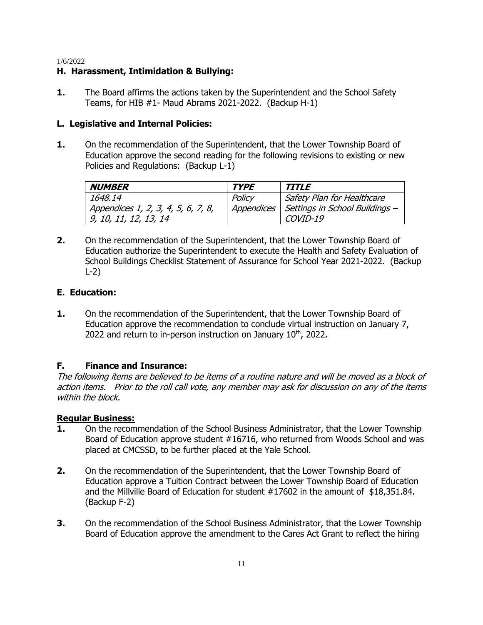### **H. Harassment, Intimidation & Bullying:**

**1.** The Board affirms the actions taken by the Superintendent and the School Safety Teams, for HIB #1- Maud Abrams 2021-2022. (Backup H-1)

### **L. Legislative and Internal Policies:**

**1.** On the recommendation of the Superintendent, that the Lower Township Board of Education approve the second reading for the following revisions to existing or new Policies and Regulations: (Backup L-1)

| <b>NUMBER</b>                      | <b>TYPE</b> | <b>TITLE</b>                   |
|------------------------------------|-------------|--------------------------------|
| 1648.14                            | Policy      | Safety Plan for Healthcare     |
| Appendices 1, 2, 3, 4, 5, 6, 7, 8, | Appendices  | Settings in School Buildings - |
| 9, 10, 11, 12, 13, 14              |             | COVID-19                       |

**2.** On the recommendation of the Superintendent, that the Lower Township Board of Education authorize the Superintendent to execute the Health and Safety Evaluation of School Buildings Checklist Statement of Assurance for School Year 2021-2022. (Backup L-2)

# **E. Education:**

**1.** On the recommendation of the Superintendent, that the Lower Township Board of Education approve the recommendation to conclude virtual instruction on January 7, 2022 and return to in-person instruction on January  $10<sup>th</sup>$ , 2022.

#### **F. Finance and Insurance:**

The following items are believed to be items of a routine nature and will be moved as a block of action items. Prior to the roll call vote, any member may ask for discussion on any of the items within the block.

#### **Regular Business:**

- **1.** On the recommendation of the School Business Administrator, that the Lower Township Board of Education approve student #16716, who returned from Woods School and was placed at CMCSSD, to be further placed at the Yale School.
- **2.** On the recommendation of the Superintendent, that the Lower Township Board of Education approve a Tuition Contract between the Lower Township Board of Education and the Millville Board of Education for student #17602 in the amount of \$18,351.84. (Backup F-2)
- **3.** On the recommendation of the School Business Administrator, that the Lower Township Board of Education approve the amendment to the Cares Act Grant to reflect the hiring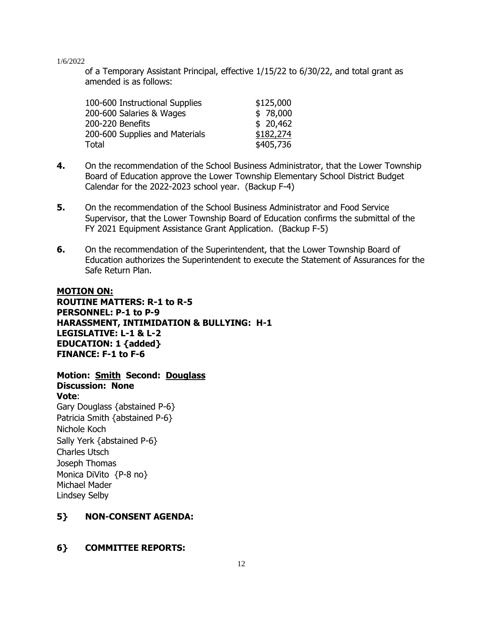of a Temporary Assistant Principal, effective 1/15/22 to 6/30/22, and total grant as amended is as follows:

| 100-600 Instructional Supplies | \$125,000 |
|--------------------------------|-----------|
| 200-600 Salaries & Wages       | \$78,000  |
| 200-220 Benefits               | \$20,462  |
| 200-600 Supplies and Materials | \$182,274 |
| <b>Total</b>                   | \$405,736 |

- **4.** On the recommendation of the School Business Administrator, that the Lower Township Board of Education approve the Lower Township Elementary School District Budget Calendar for the 2022-2023 school year. (Backup F-4)
- **5.** On the recommendation of the School Business Administrator and Food Service Supervisor, that the Lower Township Board of Education confirms the submittal of the FY 2021 Equipment Assistance Grant Application. (Backup F-5)
- **6.** On the recommendation of the Superintendent, that the Lower Township Board of Education authorizes the Superintendent to execute the Statement of Assurances for the Safe Return Plan.

### **MOTION ON: ROUTINE MATTERS: R-1 to R-5 PERSONNEL: P-1 to P-9 HARASSMENT, INTIMIDATION & BULLYING: H-1 LEGISLATIVE: L-1 & L-2 EDUCATION: 1 {added} FINANCE: F-1 to F-6**

# **Motion: Smith Second: Douglass**

**Discussion: None Vote**: Gary Douglass {abstained P-6} Patricia Smith {abstained P-6} Nichole Koch Sally Yerk {abstained P-6} Charles Utsch Joseph Thomas

Monica DiVito {P-8 no} Michael Mader

Lindsey Selby

# **5} NON-CONSENT AGENDA:**

# **6} COMMITTEE REPORTS:**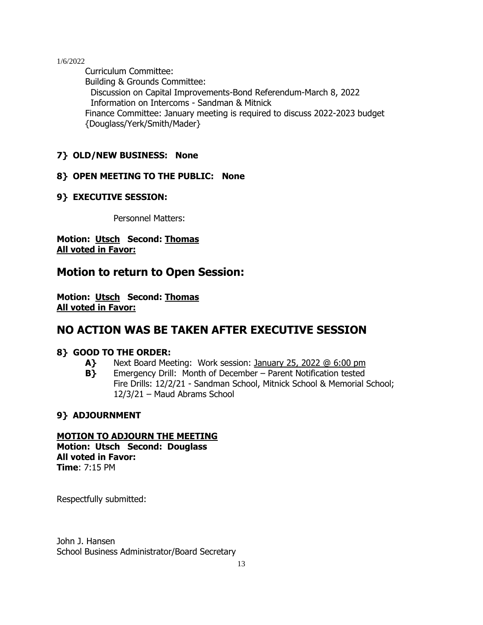Curriculum Committee: Building & Grounds Committee: Discussion on Capital Improvements-Bond Referendum-March 8, 2022 Information on Intercoms - Sandman & Mitnick Finance Committee: January meeting is required to discuss 2022-2023 budget {Douglass/Yerk/Smith/Mader}

# **7} OLD/NEW BUSINESS: None**

# **8} OPEN MEETING TO THE PUBLIC: None**

# **9} EXECUTIVE SESSION:**

Personnel Matters:

**Motion: Utsch Second: Thomas All voted in Favor:**

# **Motion to return to Open Session:**

**Motion: Utsch Second: Thomas All voted in Favor:**

# **NO ACTION WAS BE TAKEN AFTER EXECUTIVE SESSION**

# **8} GOOD TO THE ORDER:**

- **A}** Next Board Meeting: Work session: January 25, 2022 @ 6:00 pm
- **B}** Emergency Drill: Month of December Parent Notification tested Fire Drills: 12/2/21 - Sandman School, Mitnick School & Memorial School; 12/3/21 – Maud Abrams School

# **9} ADJOURNMENT**

# **MOTION TO ADJOURN THE MEETING**

**Motion: Utsch Second: Douglass All voted in Favor: Time**: 7:15 PM

Respectfully submitted:

John J. Hansen School Business Administrator/Board Secretary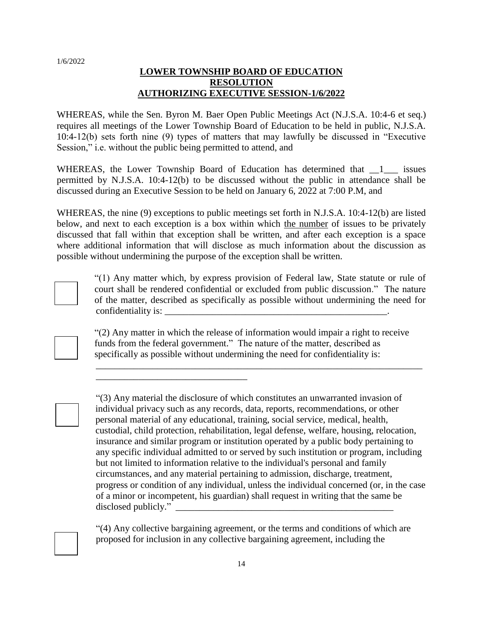### **LOWER TOWNSHIP BOARD OF EDUCATION RESOLUTION AUTHORIZING EXECUTIVE SESSION-1/6/2022**

WHEREAS, while the Sen. Byron M. Baer Open Public Meetings Act (N.J.S.A. 10:4-6 et seq.) requires all meetings of the Lower Township Board of Education to be held in public, N.J.S.A. 10:4-12(b) sets forth nine (9) types of matters that may lawfully be discussed in "Executive Session," i.e. without the public being permitted to attend, and

WHEREAS, the Lower Township Board of Education has determined that  $\frac{1}{\sqrt{1-\frac{1}{1-\frac{1}{1-\frac{1}{1-\frac{1}{1-\frac{1}{1-\frac{1}{1-\frac{1}{1-\frac{1}{1-\frac{1}{1-\frac{1}{1-\frac{1}{1-\frac{1}{1-\frac{1}{1-\frac{1}{1-\frac{1}{1-\frac{1}{1-\frac{1}{1-\frac{1}{1-\frac{1}{1-\frac{1}{1-\frac{1}{1-\frac{1}{1-\frac{1}{1-\frac{1}{1$ permitted by N.J.S.A. 10:4-12(b) to be discussed without the public in attendance shall be discussed during an Executive Session to be held on January 6, 2022 at 7:00 P.M, and

WHEREAS, the nine (9) exceptions to public meetings set forth in N.J.S.A. 10:4-12(b) are listed below, and next to each exception is a box within which the number of issues to be privately discussed that fall within that exception shall be written, and after each exception is a space where additional information that will disclose as much information about the discussion as possible without undermining the purpose of the exception shall be written.



"(1) Any matter which, by express provision of Federal law, State statute or rule of court shall be rendered confidential or excluded from public discussion." The nature of the matter, described as specifically as possible without undermining the need for confidentiality is:

"(2) Any matter in which the release of information would impair a right to receive funds from the federal government." The nature of the matter, described as specifically as possible without undermining the need for confidentiality is:

\_\_\_\_\_\_\_\_\_\_\_\_\_\_\_\_\_\_\_\_\_\_\_\_\_\_\_\_\_\_\_\_

\_\_\_\_\_\_\_\_\_\_\_\_\_\_\_\_\_\_\_\_\_\_\_\_\_\_\_\_\_\_\_\_\_\_\_\_\_\_\_\_\_\_\_\_\_\_\_\_\_\_\_\_\_\_\_\_\_\_\_\_\_\_\_\_\_\_\_\_\_

"(3) Any material the disclosure of which constitutes an unwarranted invasion of individual privacy such as any records, data, reports, recommendations, or other personal material of any educational, training, social service, medical, health, custodial, child protection, rehabilitation, legal defense, welfare, housing, relocation, insurance and similar program or institution operated by a public body pertaining to any specific individual admitted to or served by such institution or program, including but not limited to information relative to the individual's personal and family circumstances, and any material pertaining to admission, discharge, treatment, progress or condition of any individual, unless the individual concerned (or, in the case of a minor or incompetent, his guardian) shall request in writing that the same be disclosed publicly."

"(4) Any collective bargaining agreement, or the terms and conditions of which are proposed for inclusion in any collective bargaining agreement, including the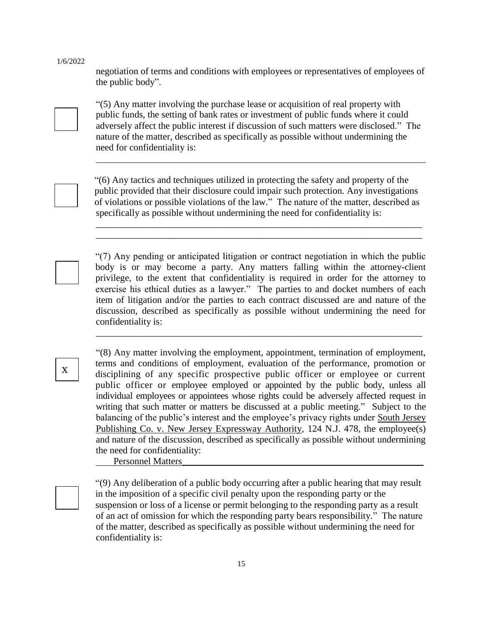negotiation of terms and conditions with employees or representatives of employees of the public body".



"(5) Any matter involving the purchase lease or acquisition of real property with public funds, the setting of bank rates or investment of public funds where it could adversely affect the public interest if discussion of such matters were disclosed." The nature of the matter, described as specifically as possible without undermining the need for confidentiality is:



"(6) Any tactics and techniques utilized in protecting the safety and property of the public provided that their disclosure could impair such protection. Any investigations of violations or possible violations of the law." The nature of the matter, described as specifically as possible without undermining the need for confidentiality is:

\_\_\_\_\_\_\_\_\_\_\_\_\_\_\_\_\_\_\_\_\_\_\_\_\_\_\_\_\_\_\_\_\_\_\_\_\_\_\_\_\_\_\_\_\_\_\_\_\_\_\_\_\_\_\_\_\_\_\_\_\_\_\_\_\_\_\_\_\_ \_\_\_\_\_\_\_\_\_\_\_\_\_\_\_\_\_\_\_\_\_\_\_\_\_\_\_\_\_\_\_\_\_\_\_\_\_\_\_\_\_\_\_\_\_\_\_\_\_\_\_\_\_\_\_\_\_\_\_\_\_\_\_\_\_\_\_\_\_

"(7) Any pending or anticipated litigation or contract negotiation in which the public body is or may become a party. Any matters falling within the attorney-client privilege, to the extent that confidentiality is required in order for the attorney to exercise his ethical duties as a lawyer." The parties to and docket numbers of each item of litigation and/or the parties to each contract discussed are and nature of the discussion, described as specifically as possible without undermining the need for confidentiality is:

\_\_\_\_\_\_\_\_\_\_\_\_\_\_\_\_\_\_\_\_\_\_\_\_\_\_\_\_\_\_\_\_\_\_\_\_\_\_\_\_\_\_\_\_\_\_\_\_\_\_\_\_\_\_\_\_\_\_\_\_\_\_\_\_\_\_\_\_\_

"(8) Any matter involving the employment, appointment, termination of employment, terms and conditions of employment, evaluation of the performance, promotion or disciplining of any specific prospective public officer or employee or current public officer or employee employed or appointed by the public body, unless all individual employees or appointees whose rights could be adversely affected request in writing that such matter or matters be discussed at a public meeting." Subject to the balancing of the public's interest and the employee's privacy rights under South Jersey Publishing Co. v. New Jersey Expressway Authority*,* 124 N.J. 478, the employee(s) and nature of the discussion, described as specifically as possible without undermining the need for confidentiality:

Personnel Matters

"(9) Any deliberation of a public body occurring after a public hearing that may result in the imposition of a specific civil penalty upon the responding party or the suspension or loss of a license or permit belonging to the responding party as a result of an act of omission for which the responding party bears responsibility." The nature of the matter, described as specifically as possible without undermining the need for confidentiality is: